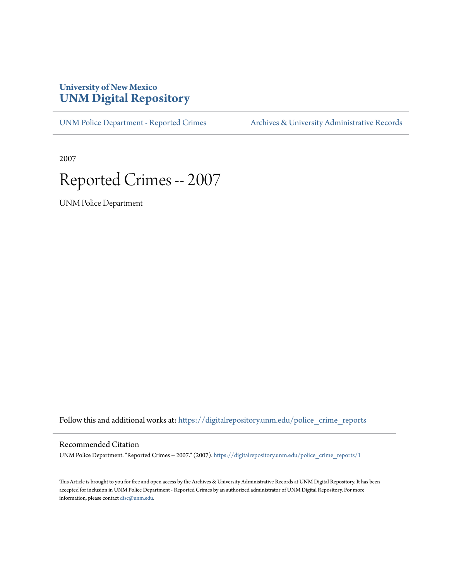## **University of New Mexico [UNM Digital Repository](https://digitalrepository.unm.edu?utm_source=digitalrepository.unm.edu%2Fpolice_crime_reports%2F1&utm_medium=PDF&utm_campaign=PDFCoverPages)**

[UNM Police Department - Reported Crimes](https://digitalrepository.unm.edu/police_crime_reports?utm_source=digitalrepository.unm.edu%2Fpolice_crime_reports%2F1&utm_medium=PDF&utm_campaign=PDFCoverPages) [Archives & University Administrative Records](https://digitalrepository.unm.edu/archives?utm_source=digitalrepository.unm.edu%2Fpolice_crime_reports%2F1&utm_medium=PDF&utm_campaign=PDFCoverPages)

2007

## Reported Crimes -- 2007

UNM Police Department

Follow this and additional works at: [https://digitalrepository.unm.edu/police\\_crime\\_reports](https://digitalrepository.unm.edu/police_crime_reports?utm_source=digitalrepository.unm.edu%2Fpolice_crime_reports%2F1&utm_medium=PDF&utm_campaign=PDFCoverPages)

## Recommended Citation

UNM Police Department. "Reported Crimes -- 2007." (2007). [https://digitalrepository.unm.edu/police\\_crime\\_reports/1](https://digitalrepository.unm.edu/police_crime_reports/1?utm_source=digitalrepository.unm.edu%2Fpolice_crime_reports%2F1&utm_medium=PDF&utm_campaign=PDFCoverPages)

This Article is brought to you for free and open access by the Archives & University Administrative Records at UNM Digital Repository. It has been accepted for inclusion in UNM Police Department - Reported Crimes by an authorized administrator of UNM Digital Repository. For more information, please contact [disc@unm.edu.](mailto:disc@unm.edu)